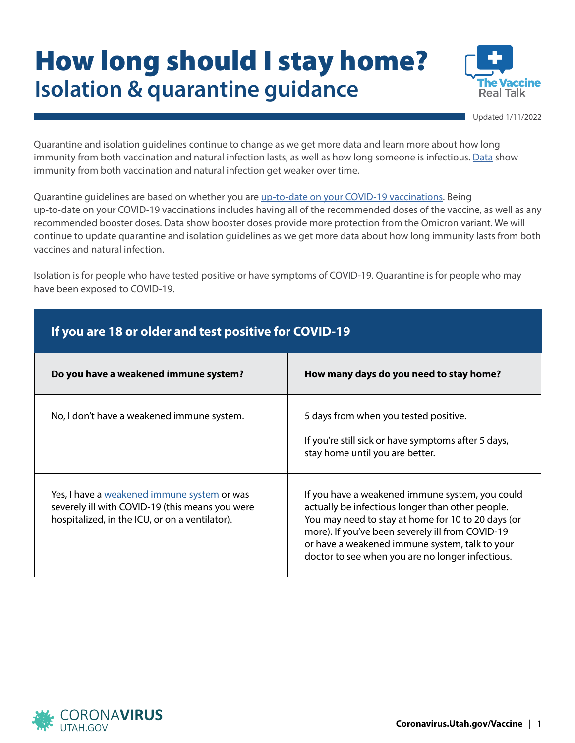## How long should I stay home? **Isolation & quarantine guidance**



Updated 1/11/2022

Quarantine and isolation guidelines continue to change as we get more data and learn more about how long immunity from both vaccination and natural infection lasts, as well as how long someone is infectious. [Data](https://www.cdc.gov/media/releases/2021/s1227-isolation-quarantine-guidance.html) show immunity from both vaccination and natural infection get weaker over time.

Quarantine guidelines are based on whether you are [up-to-date on your COVID-19 vaccinations.](https://www.cdc.gov/coronavirus/2019-ncov/vaccines/stay-up-to-date.html) Being up-to-date on your COVID-19 vaccinations includes having all of the recommended doses of the vaccine, as well as any recommended booster doses. Data show booster doses provide more protection from the Omicron variant. We will continue to update quarantine and isolation guidelines as we get more data about how long immunity lasts from both vaccines and natural infection.

Isolation is for people who have tested positive or have symptoms of COVID-19. Quarantine is for people who may have been exposed to COVID-19.

| If you are 18 or older and test positive for COVID-19                                                                                            |                                                                                                                                                                                                                                                                                                                     |  |
|--------------------------------------------------------------------------------------------------------------------------------------------------|---------------------------------------------------------------------------------------------------------------------------------------------------------------------------------------------------------------------------------------------------------------------------------------------------------------------|--|
| Do you have a weakened immune system?                                                                                                            | How many days do you need to stay home?                                                                                                                                                                                                                                                                             |  |
| No, I don't have a weakened immune system.                                                                                                       | 5 days from when you tested positive.<br>If you're still sick or have symptoms after 5 days,<br>stay home until you are better.                                                                                                                                                                                     |  |
| Yes, I have a weakened immune system or was<br>severely ill with COVID-19 (this means you were<br>hospitalized, in the ICU, or on a ventilator). | If you have a weakened immune system, you could<br>actually be infectious longer than other people.<br>You may need to stay at home for 10 to 20 days (or<br>more). If you've been severely ill from COVID-19<br>or have a weakened immune system, talk to your<br>doctor to see when you are no longer infectious. |  |

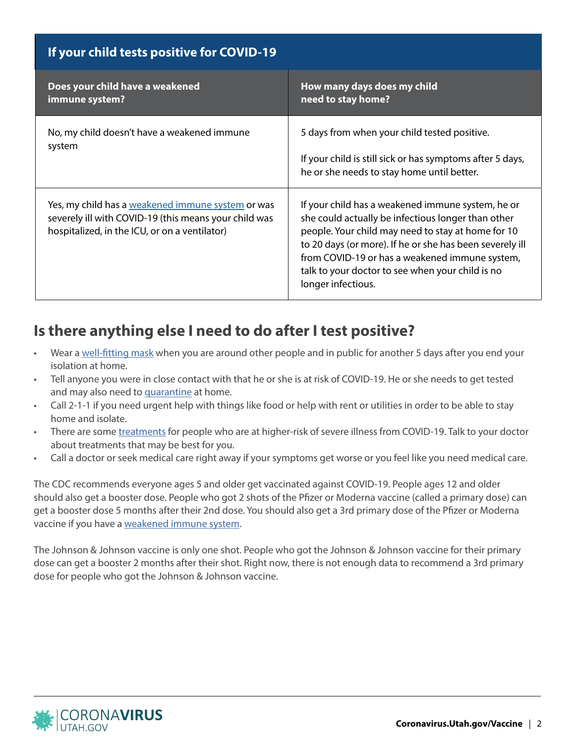| If your child tests positive for COVID-19                                                                                                                   |                                                                                                                                                                                                                                                                                                                                                       |  |
|-------------------------------------------------------------------------------------------------------------------------------------------------------------|-------------------------------------------------------------------------------------------------------------------------------------------------------------------------------------------------------------------------------------------------------------------------------------------------------------------------------------------------------|--|
| Does your child have a weakened<br>immune system?                                                                                                           | How many days does my child<br>need to stay home?                                                                                                                                                                                                                                                                                                     |  |
| No, my child doesn't have a weakened immune<br>system                                                                                                       | 5 days from when your child tested positive.<br>If your child is still sick or has symptoms after 5 days,<br>he or she needs to stay home until better.                                                                                                                                                                                               |  |
| Yes, my child has a weakened immune system or was<br>severely ill with COVID-19 (this means your child was<br>hospitalized, in the ICU, or on a ventilator) | If your child has a weakened immune system, he or<br>she could actually be infectious longer than other<br>people. Your child may need to stay at home for 10<br>to 20 days (or more). If he or she has been severely ill<br>from COVID-19 or has a weakened immune system,<br>talk to your doctor to see when your child is no<br>longer infectious. |  |

## **Is there anything else I need to do after I test positive?**

- Wear a [well-fitting mask](https://www.cdc.gov/coronavirus/2019-ncov/prevent-getting-sick/types-of-masks.html) when you are around other people and in public for another 5 days after you end your isolation at home.
- Tell anyone you were in close contact with that he or she is at risk of COVID-19. He or she needs to get tested and may also need to [quarantine](https://coronavirus.utah.gov/protect-yourself/#quarantine-if-exposed) at home.
- Call 2-1-1 if you need urgent help with things like food or help with rent or utilities in order to be able to stay home and isolate.
- There are some [treatments](https://coronavirus.utah.gov/treatments/) for people who are at higher-risk of severe illness from COVID-19. Talk to your doctor about treatments that may be best for you.
- Call a doctor or seek medical care right away if your symptoms get worse or you feel like you need medical care.

The CDC recommends everyone ages 5 and older get vaccinated against COVID-19. People ages 12 and older should also get a booster dose. People who got 2 shots of the Pfizer or Moderna vaccine (called a primary dose) can get a booster dose 5 months after their 2nd dose. You should also get a 3rd primary dose of the Pfizer or Moderna vaccine if you have a [weakened immune system](https://www.cdc.gov/coronavirus/2019-ncov/vaccines/recommendations/immuno.html).

The Johnson & Johnson vaccine is only one shot. People who got the Johnson & Johnson vaccine for their primary dose can get a booster 2 months after their shot. Right now, there is not enough data to recommend a 3rd primary dose for people who got the Johnson & Johnson vaccine.

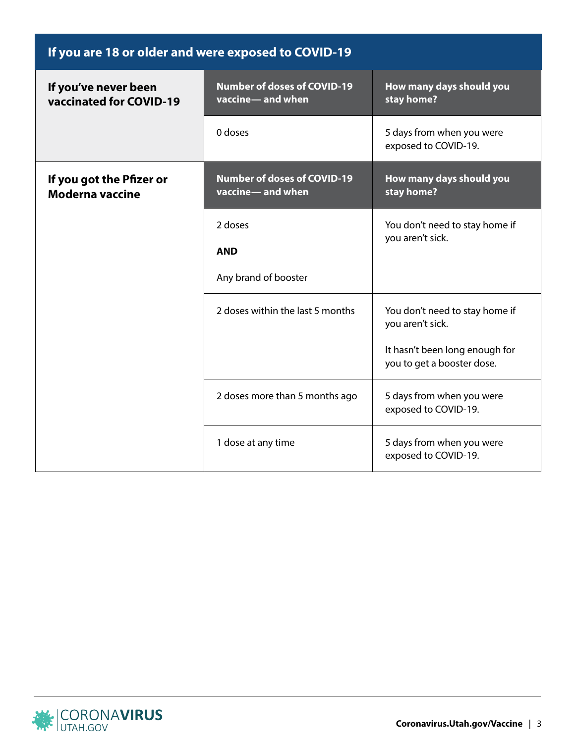| If you are 18 or older and were exposed to COVID-19 |                                                        |                                                                                                                    |
|-----------------------------------------------------|--------------------------------------------------------|--------------------------------------------------------------------------------------------------------------------|
| If you've never been<br>vaccinated for COVID-19     | <b>Number of doses of COVID-19</b><br>vaccine-and when | How many days should you<br>stay home?                                                                             |
|                                                     | 0 doses                                                | 5 days from when you were<br>exposed to COVID-19.                                                                  |
| If you got the Pfizer or<br><b>Moderna vaccine</b>  | <b>Number of doses of COVID-19</b><br>vaccine-and when | How many days should you<br>stay home?                                                                             |
|                                                     | 2 doses<br><b>AND</b><br>Any brand of booster          | You don't need to stay home if<br>you aren't sick.                                                                 |
|                                                     | 2 doses within the last 5 months                       | You don't need to stay home if<br>you aren't sick.<br>It hasn't been long enough for<br>you to get a booster dose. |
|                                                     | 2 doses more than 5 months ago                         | 5 days from when you were<br>exposed to COVID-19.                                                                  |
|                                                     | 1 dose at any time                                     | 5 days from when you were<br>exposed to COVID-19.                                                                  |

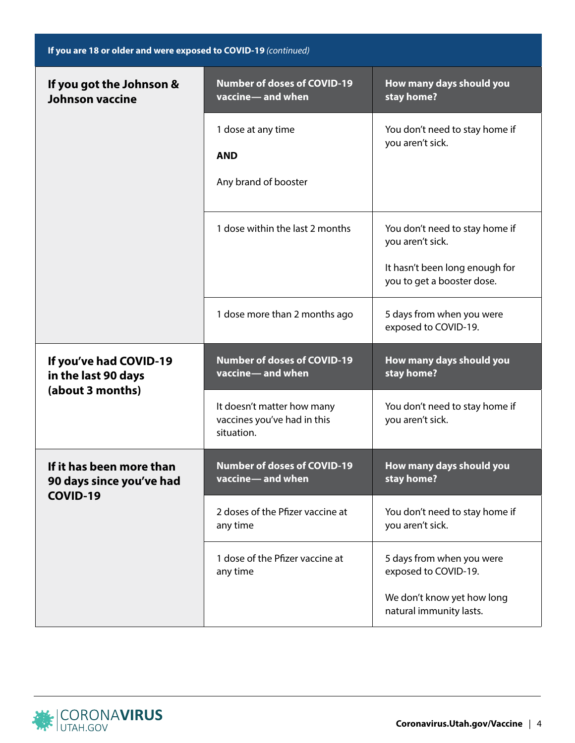| If you are 18 or older and were exposed to COVID-19 (continued)         |                                                                         |                                                              |
|-------------------------------------------------------------------------|-------------------------------------------------------------------------|--------------------------------------------------------------|
| If you got the Johnson &<br><b>Johnson vaccine</b>                      | <b>Number of doses of COVID-19</b><br>vaccine-and when                  | How many days should you<br>stay home?                       |
|                                                                         | 1 dose at any time<br><b>AND</b>                                        | You don't need to stay home if<br>you aren't sick.           |
|                                                                         | Any brand of booster                                                    |                                                              |
|                                                                         | 1 dose within the last 2 months                                         | You don't need to stay home if<br>you aren't sick.           |
|                                                                         |                                                                         | It hasn't been long enough for<br>you to get a booster dose. |
|                                                                         | 1 dose more than 2 months ago                                           | 5 days from when you were<br>exposed to COVID-19.            |
| If you've had COVID-19<br>in the last 90 days<br>(about 3 months)       | <b>Number of doses of COVID-19</b><br>vaccine-and when                  | How many days should you<br>stay home?                       |
|                                                                         | It doesn't matter how many<br>vaccines you've had in this<br>situation. | You don't need to stay home if<br>you aren't sick.           |
| If it has been more than<br>90 days since you've had<br><b>COVID-19</b> | <b>Number of doses of COVID-19</b><br>vaccine-and when                  | How many days should you<br>stay home?                       |
|                                                                         | 2 doses of the Pfizer vaccine at<br>any time                            | You don't need to stay home if<br>you aren't sick.           |
|                                                                         | 1 dose of the Pfizer vaccine at<br>any time                             | 5 days from when you were<br>exposed to COVID-19.            |
|                                                                         |                                                                         | We don't know yet how long<br>natural immunity lasts.        |

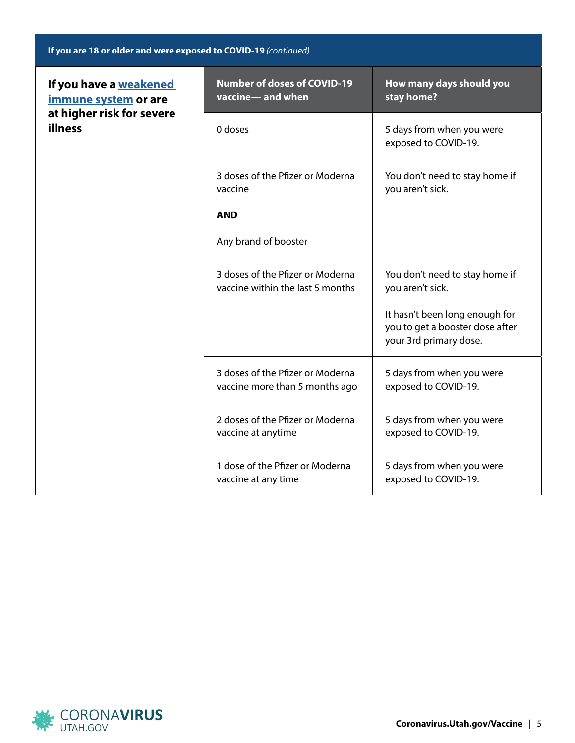|  | If you are 18 or older and were exposed to COVID-19 (continued) |
|--|-----------------------------------------------------------------|
|--|-----------------------------------------------------------------|

| If you have a weakened<br>immune system or are<br>at higher risk for severe<br>illness | <b>Number of doses of COVID-19</b><br>vaccine-and when               | How many days should you<br>stay home?                                                      |
|----------------------------------------------------------------------------------------|----------------------------------------------------------------------|---------------------------------------------------------------------------------------------|
|                                                                                        | 0 doses                                                              | 5 days from when you were<br>exposed to COVID-19.                                           |
|                                                                                        | 3 doses of the Pfizer or Moderna<br>vaccine                          | You don't need to stay home if<br>you aren't sick.                                          |
|                                                                                        | <b>AND</b>                                                           |                                                                                             |
|                                                                                        | Any brand of booster                                                 |                                                                                             |
|                                                                                        | 3 doses of the Pfizer or Moderna<br>vaccine within the last 5 months | You don't need to stay home if<br>you aren't sick.                                          |
|                                                                                        |                                                                      | It hasn't been long enough for<br>you to get a booster dose after<br>your 3rd primary dose. |
|                                                                                        | 3 doses of the Pfizer or Moderna<br>vaccine more than 5 months ago   | 5 days from when you were<br>exposed to COVID-19.                                           |
|                                                                                        | 2 doses of the Pfizer or Moderna<br>vaccine at anytime               | 5 days from when you were<br>exposed to COVID-19.                                           |
|                                                                                        | 1 dose of the Pfizer or Moderna<br>vaccine at any time               | 5 days from when you were<br>exposed to COVID-19.                                           |

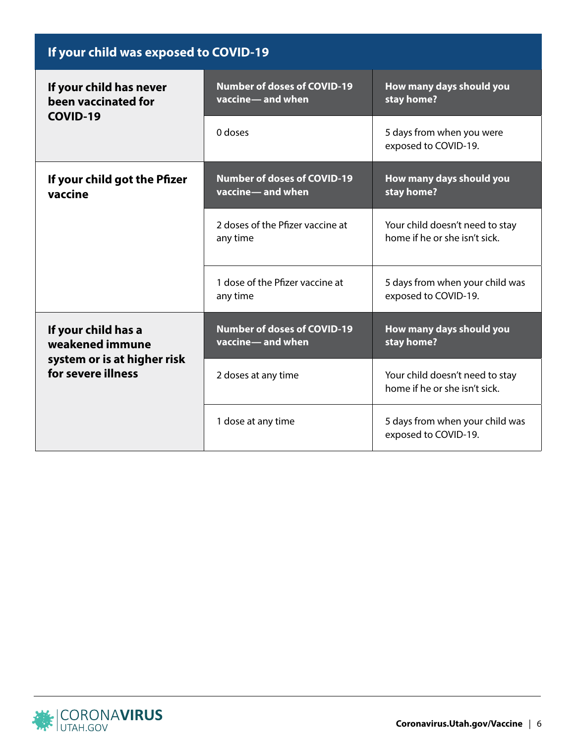| If your child was exposed to COVID-19                                                       |                                                        |                                                                  |
|---------------------------------------------------------------------------------------------|--------------------------------------------------------|------------------------------------------------------------------|
| If your child has never<br>been vaccinated for<br>COVID-19                                  | <b>Number of doses of COVID-19</b><br>vaccine-and when | How many days should you<br>stay home?                           |
|                                                                                             | 0 doses                                                | 5 days from when you were<br>exposed to COVID-19.                |
| If your child got the Pfizer<br>vaccine                                                     | <b>Number of doses of COVID-19</b><br>vaccine-and when | How many days should you<br>stay home?                           |
|                                                                                             | 2 doses of the Pfizer vaccine at<br>any time           | Your child doesn't need to stay<br>home if he or she isn't sick. |
|                                                                                             | 1 dose of the Pfizer vaccine at<br>any time            | 5 days from when your child was<br>exposed to COVID-19.          |
| If your child has a<br>weakened immune<br>system or is at higher risk<br>for severe illness | <b>Number of doses of COVID-19</b><br>vaccine-and when | How many days should you<br>stay home?                           |
|                                                                                             | 2 doses at any time                                    | Your child doesn't need to stay<br>home if he or she isn't sick. |
|                                                                                             | 1 dose at any time                                     | 5 days from when your child was<br>exposed to COVID-19.          |